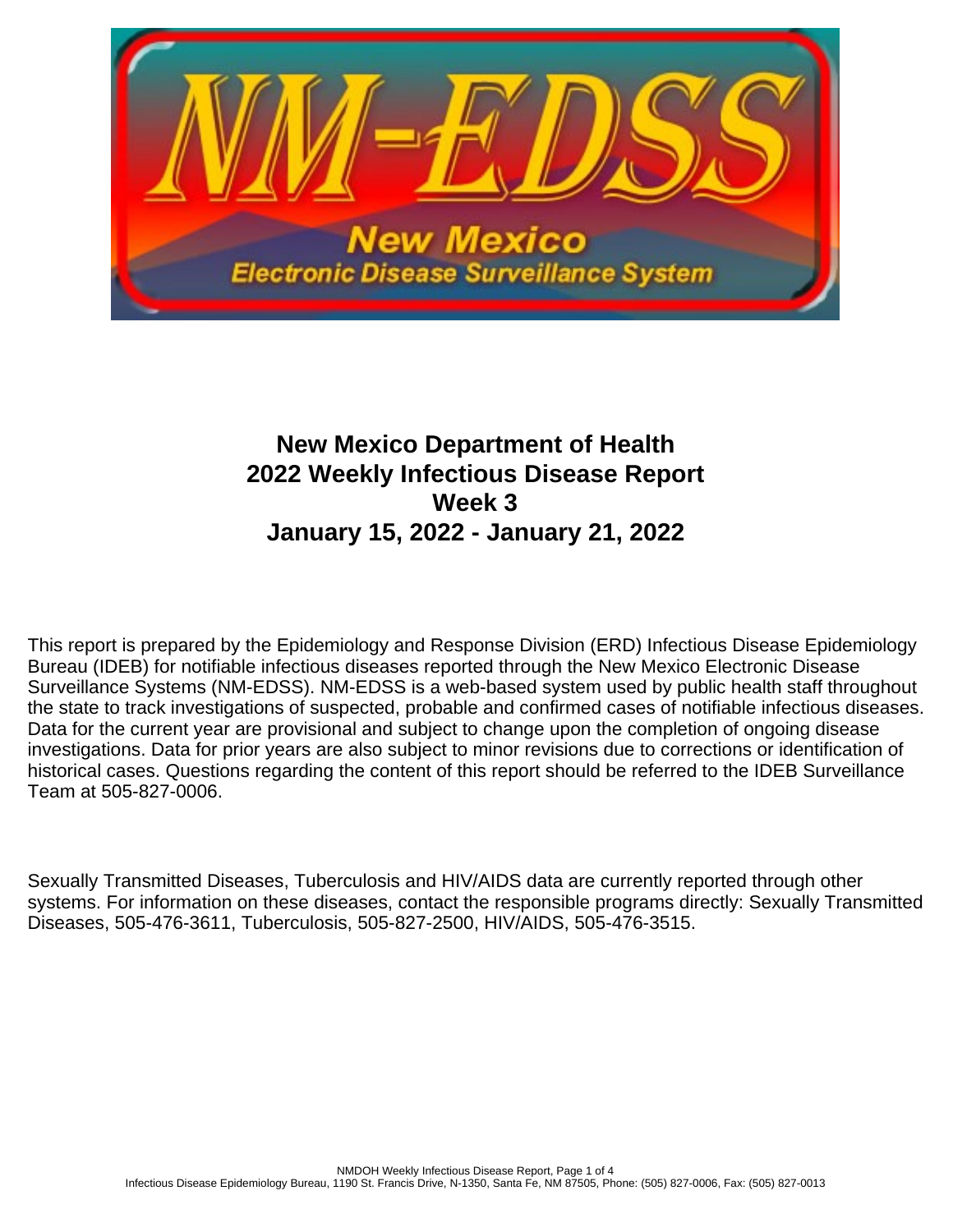

# **New Mexico Department of Health 2022 Weekly Infectious Disease Report Week 3 January 15, 2022 - January 21, 2022**

This report is prepared by the Epidemiology and Response Division (ERD) Infectious Disease Epidemiology Bureau (IDEB) for notifiable infectious diseases reported through the New Mexico Electronic Disease Surveillance Systems (NM-EDSS). NM-EDSS is a web-based system used by public health staff throughout the state to track investigations of suspected, probable and confirmed cases of notifiable infectious diseases. Data for the current year are provisional and subject to change upon the completion of ongoing disease investigations. Data for prior years are also subject to minor revisions due to corrections or identification of historical cases. Questions regarding the content of this report should be referred to the IDEB Surveillance Team at 505-827-0006.

Sexually Transmitted Diseases, Tuberculosis and HIV/AIDS data are currently reported through other systems. For information on these diseases, contact the responsible programs directly: Sexually Transmitted Diseases, 505-476-3611, Tuberculosis, 505-827-2500, HIV/AIDS, 505-476-3515.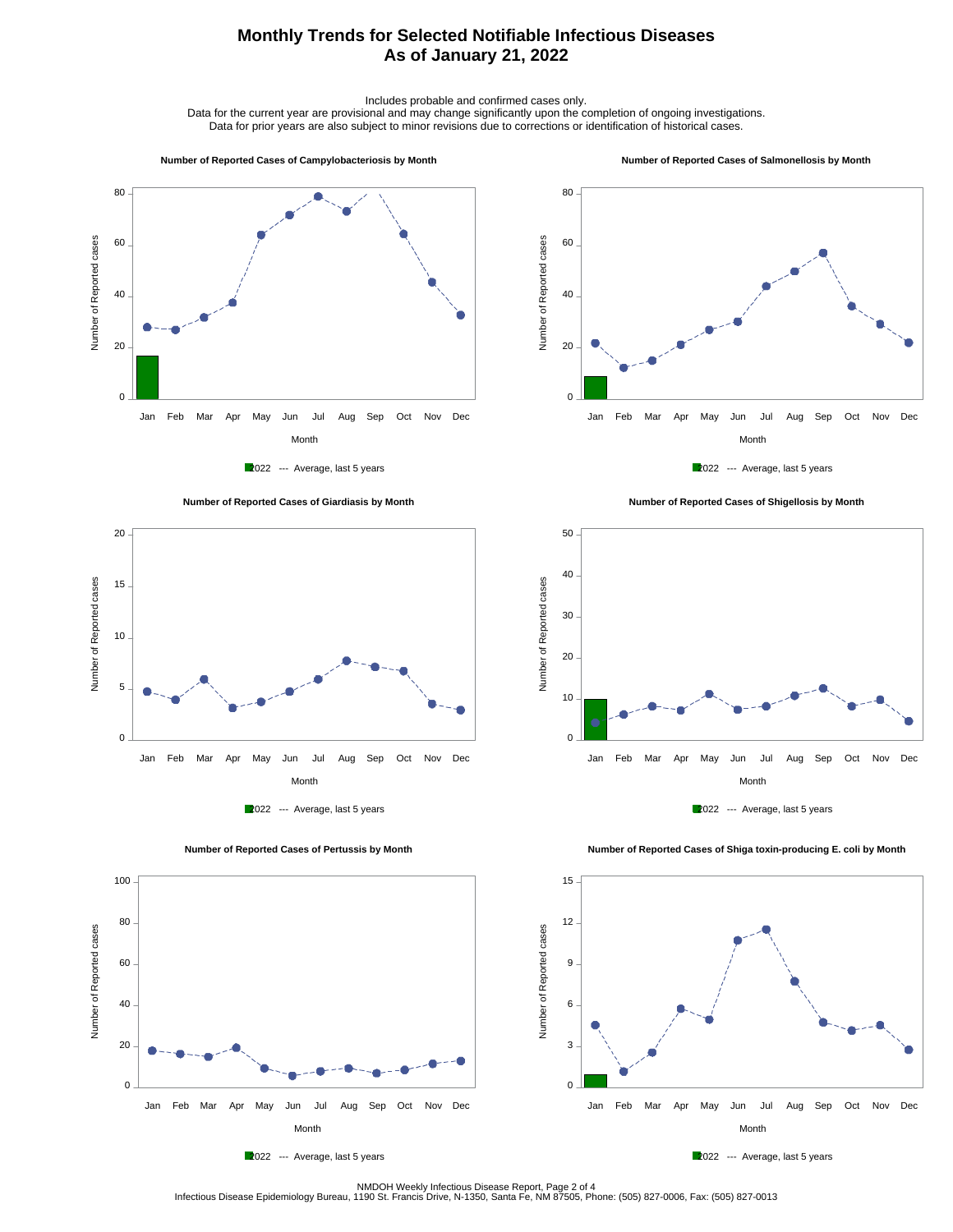## **Monthly Trends for Selected Notifiable Infectious Diseases As of January 21, 2022**

Includes probable and confirmed cases only.

Data for the current year are provisional and may change significantly upon the completion of ongoing investigations. Data for prior years are also subject to minor revisions due to corrections or identification of historical cases.

#### **Number of Reported Cases of Campylobacteriosis by Month**

#### **Number of Reported Cases of Salmonellosis by Month**









 **Number of Reported Cases of Shigellosis by Month**





 **Number of Reported Cases of Shiga toxin-producing E. coli by Month**







NMDOH Weekly Infectious Disease Report, Page 2 of 4<br>Infectious Disease Epidemiology Bureau, 1190 St. Francis Drive, N-1350, Santa Fe, NM 87505, Phone: (505) 827-0006, Fax: (505) 827-0013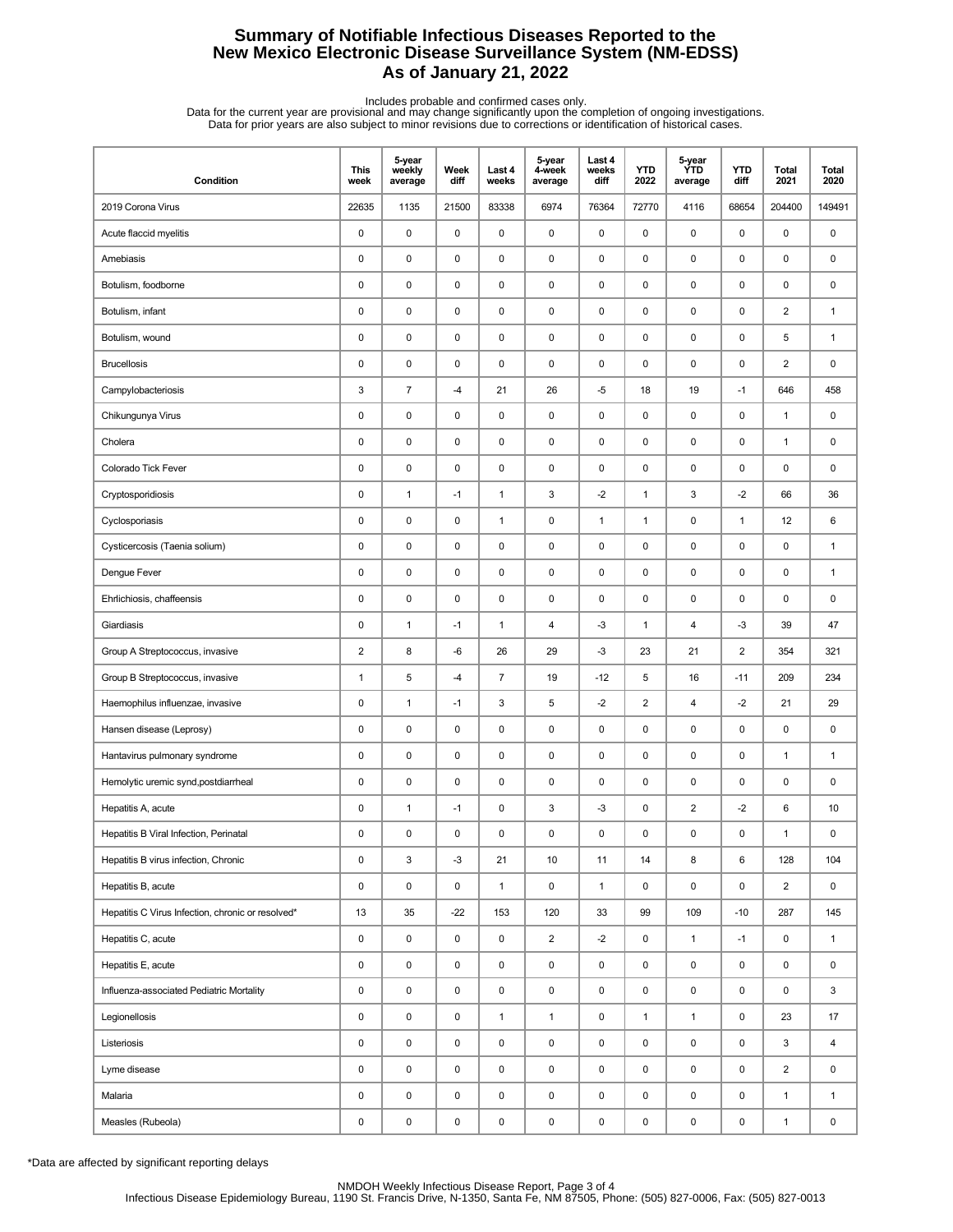## **Summary of Notifiable Infectious Diseases Reported to the New Mexico Electronic Disease Surveillance System (NM-EDSS) As of January 21, 2022**

Includes probable and confirmed cases only.<br>Data for the current year are provisional and may change significantly upon the completion of ongoing investigations.<br>Data for prior years are also subject to minor revisions due

| Condition                                         | <b>This</b><br>week       | 5-year<br>weekly<br>average | Week<br>diff | Last 4<br>weeks | 5-year<br>4-week<br>average | Last 4<br>weeks<br>diff | <b>YTD</b><br>2022 | 5-year<br>ÝTD<br>average | <b>YTD</b><br>diff | <b>Total</b><br>2021 | <b>Total</b><br>2020 |
|---------------------------------------------------|---------------------------|-----------------------------|--------------|-----------------|-----------------------------|-------------------------|--------------------|--------------------------|--------------------|----------------------|----------------------|
| 2019 Corona Virus                                 | 22635                     | 1135                        | 21500        | 83338           | 6974                        | 76364                   | 72770              | 4116                     | 68654              | 204400               | 149491               |
| Acute flaccid myelitis                            | $\pmb{0}$                 | 0                           | $\pmb{0}$    | $\mathsf 0$     | $\mathsf 0$                 | $\pmb{0}$               | $\pmb{0}$          | $\mathsf 0$              | 0                  | $\pmb{0}$            | $\pmb{0}$            |
| Amebiasis                                         | $\pmb{0}$                 | $\pmb{0}$                   | $\pmb{0}$    | $\mathsf 0$     | 0                           | 0                       | 0                  | $\pmb{0}$                | 0                  | 0                    | 0                    |
| Botulism, foodborne                               | $\pmb{0}$                 | $\pmb{0}$                   | 0            | 0               | 0                           | 0                       | $\pmb{0}$          | $\pmb{0}$                | 0                  | $\pmb{0}$            | $\pmb{0}$            |
| Botulism, infant                                  | $\mathbf 0$               | 0                           | $\pmb{0}$    | $\mathsf 0$     | 0                           | $\pmb{0}$               | $\pmb{0}$          | $\mathsf 0$              | 0                  | $\overline{2}$       | $\mathbf{1}$         |
| Botulism, wound                                   | $\pmb{0}$                 | 0                           | 0            | 0               | 0                           | 0                       | 0                  | $\mathsf 0$              | 0                  | 5                    | $\mathbf{1}$         |
| <b>Brucellosis</b>                                | $\pmb{0}$                 | 0                           | $\pmb{0}$    | $\pmb{0}$       | 0                           | $\pmb{0}$               | $\pmb{0}$          | $\mathsf 0$              | 0                  | $\overline{c}$       | $\pmb{0}$            |
| Campylobacteriosis                                | $\ensuremath{\mathsf{3}}$ | $\overline{7}$              | $-4$         | 21              | 26                          | $-5$                    | 18                 | 19                       | $-1$               | 646                  | 458                  |
| Chikungunya Virus                                 | $\pmb{0}$                 | $\mathsf 0$                 | 0            | 0               | 0                           | 0                       | $\pmb{0}$          | $\pmb{0}$                | 0                  | $\mathbf{1}$         | 0                    |
| Cholera                                           | $\mathbf 0$               | 0                           | 0            | $\mathsf 0$     | 0                           | $\pmb{0}$               | $\pmb{0}$          | 0                        | 0                  | $\mathbf{1}$         | 0                    |
| Colorado Tick Fever                               | $\pmb{0}$                 | $\mathsf 0$                 | 0            | 0               | 0                           | 0                       | 0                  | 0                        | 0                  | $\mathbf 0$          | $\mathbf 0$          |
| Cryptosporidiosis                                 | $\pmb{0}$                 | $\mathbf{1}$                | $-1$         | $\mathbf{1}$    | 3                           | $-2$                    | $\mathbf{1}$       | 3                        | $-2$               | 66                   | 36                   |
| Cyclosporiasis                                    | $\pmb{0}$                 | $\mathsf 0$                 | 0            | $\mathbf{1}$    | 0                           | $\mathbf{1}$            | $\mathbf{1}$       | $\pmb{0}$                | $\mathbf{1}$       | 12                   | 6                    |
| Cysticercosis (Taenia solium)                     | $\pmb{0}$                 | $\mathsf 0$                 | 0            | 0               | 0                           | 0                       | $\pmb{0}$          | 0                        | 0                  | $\pmb{0}$            | $\mathbf{1}$         |
| Dengue Fever                                      | $\mathbf 0$               | 0                           | 0            | 0               | 0                           | 0                       | $\pmb{0}$          | 0                        | 0                  | $\mathbf 0$          | $\mathbf{1}$         |
| Ehrlichiosis, chaffeensis                         | $\mathbf 0$               | 0                           | 0            | 0               | 0                           | 0                       | 0                  | 0                        | 0                  | $\mathbf 0$          | $\mathbf 0$          |
| Giardiasis                                        | $\pmb{0}$                 | $\mathbf{1}$                | $-1$         | $\mathbf{1}$    | 4                           | $-3$                    | $\mathbf{1}$       | $\overline{4}$           | $-3$               | 39                   | 47                   |
| Group A Streptococcus, invasive                   | $\overline{2}$            | 8                           | $-6$         | 26              | 29                          | $-3$                    | 23                 | 21                       | 2                  | 354                  | 321                  |
| Group B Streptococcus, invasive                   | $\mathbf{1}$              | 5                           | $-4$         | $\overline{7}$  | 19                          | $-12$                   | 5                  | 16                       | $-11$              | 209                  | 234                  |
| Haemophilus influenzae, invasive                  | $\mathbf 0$               | $\mathbf{1}$                | $-1$         | 3               | 5                           | $-2$                    | $\overline{2}$     | 4                        | $-2$               | 21                   | 29                   |
| Hansen disease (Leprosy)                          | $\mathbf 0$               | 0                           | 0            | 0               | 0                           | 0                       | 0                  | 0                        | 0                  | $\mathbf 0$          | $\mathbf 0$          |
| Hantavirus pulmonary syndrome                     | $\pmb{0}$                 | 0                           | 0            | 0               | 0                           | $\pmb{0}$               | $\pmb{0}$          | 0                        | 0                  | $\mathbf{1}$         | $\mathbf{1}$         |
| Hemolytic uremic synd, postdiarrheal              | $\pmb{0}$                 | $\pmb{0}$                   | 0            | 0               | 0                           | 0                       | 0                  | 0                        | 0                  | $\pmb{0}$            | 0                    |
| Hepatitis A, acute                                | 0                         | $\mathbf{1}$                | $-1$         | 0               | 3                           | -3                      | $\pmb{0}$          | $\overline{2}$           | $-2$               | 6                    | 10                   |
| Hepatitis B Viral Infection, Perinatal            | 0                         | 0                           | 0            | 0               | 0                           | 0                       | 0                  | 0                        | 0                  | $\mathbf{1}$         | 0                    |
| Hepatitis B virus infection, Chronic              | $\pmb{0}$                 | 3                           | $-3$         | 21              | 10                          | 11                      | 14                 | 8                        | 6                  | 128                  | 104                  |
| Hepatitis B, acute                                | $\pmb{0}$                 | 0                           | 0            | $\mathbf{1}$    | $\mathsf 0$                 | $\mathbf{1}$            | 0                  | 0                        | 0                  | $\overline{2}$       | $\mathsf 0$          |
| Hepatitis C Virus Infection, chronic or resolved* | 13                        | 35                          | $-22$        | 153             | 120                         | 33                      | 99                 | 109                      | $-10$              | 287                  | 145                  |
| Hepatitis C, acute                                | 0                         | 0                           | 0            | 0               | $\overline{2}$              | $-2$                    | 0                  | $\mathbf{1}$             | $-1$               | 0                    | $\mathbf{1}$         |
| Hepatitis E, acute                                | 0                         | 0                           | 0            | 0               | $\mathsf 0$                 | 0                       | 0                  | 0                        | 0                  | 0                    | 0                    |
| Influenza-associated Pediatric Mortality          | $\pmb{0}$                 | 0                           | 0            | 0               | $\mathsf 0$                 | $\pmb{0}$               | $\pmb{0}$          | 0                        | 0                  | 0                    | 3                    |
| Legionellosis                                     | $\pmb{0}$                 | 0                           | 0            | $\mathbf{1}$    | $\mathbf{1}$                | $\pmb{0}$               | $\mathbf{1}$       | $\mathbf{1}$             | 0                  | 23                   | 17                   |
| Listeriosis                                       | $\pmb{0}$                 | $\pmb{0}$                   | 0            | $\pmb{0}$       | $\mathsf 0$                 | $\pmb{0}$               | 0                  | $\pmb{0}$                | 0                  | 3                    | $\overline{4}$       |
| Lyme disease                                      | $\pmb{0}$                 | 0                           | 0            | 0               | $\mathsf 0$                 | 0                       | 0                  | $\pmb{0}$                | 0                  | $\overline{2}$       | 0                    |
| Malaria                                           | $\pmb{0}$                 | 0                           | 0            | $\pmb{0}$       | $\mathsf 0$                 | 0                       | 0                  | 0                        | 0                  | $\mathbf{1}$         | $\mathbf{1}$         |
| Measles (Rubeola)                                 | $\pmb{0}$                 | $\pmb{0}$                   | 0            | $\pmb{0}$       | 0                           | 0                       | 0                  | $\pmb{0}$                | 0                  | $\mathbf{1}$         | $\pmb{0}$            |

\*Data are affected by significant reporting delays